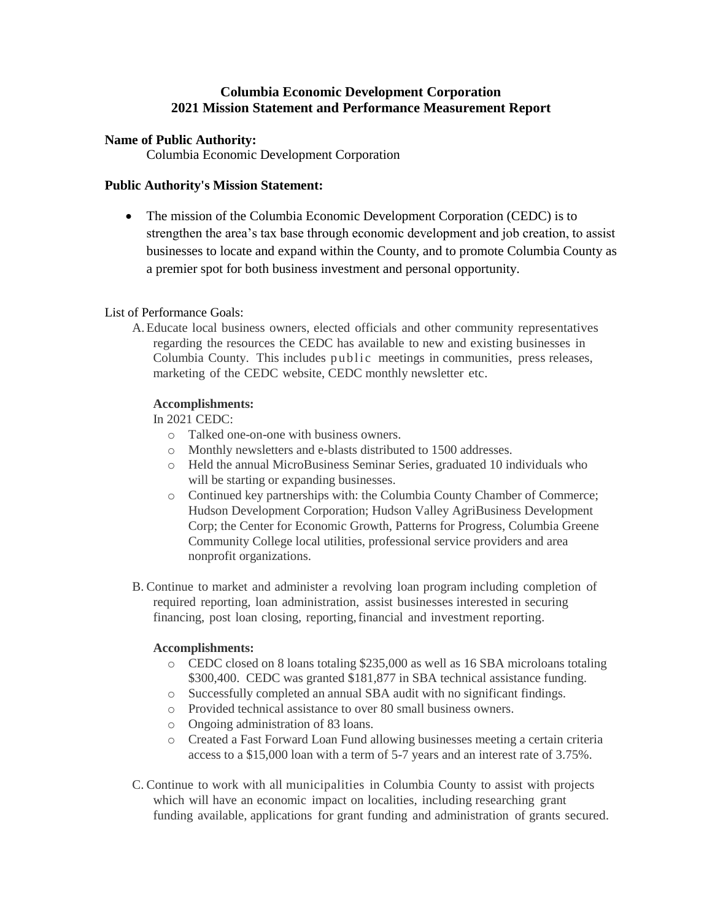# **Columbia Economic Development Corporation 2021 Mission Statement and Performance Measurement Report**

### **Name of Public Authority:**

Columbia Economic Development Corporation

## **Public Authority's Mission Statement:**

• The mission of the Columbia Economic Development Corporation (CEDC) is to strengthen the area's tax base through economic development and job creation, to assist businesses to locate and expand within the County, and to promote Columbia County as a premier spot for both business investment and personal opportunity.

## List of Performance Goals:

A.Educate local business owners, elected officials and other community representatives regarding the resources the CEDC has available to new and existing businesses in Columbia County. This includes public meetings in communities, press releases, marketing of the CEDC website, CEDC monthly newsletter etc.

## **Accomplishments:**

In 2021 CEDC:

- o Talked one-on-one with business owners.
- o Monthly newsletters and e-blasts distributed to 1500 addresses.
- o Held the annual MicroBusiness Seminar Series, graduated 10 individuals who will be starting or expanding businesses.
- o Continued key partnerships with: the Columbia County Chamber of Commerce; Hudson Development Corporation; Hudson Valley AgriBusiness Development Corp; the Center for Economic Growth, Patterns for Progress, Columbia Greene Community College local utilities, professional service providers and area nonprofit organizations.
- B. Continue to market and administer a revolving loan program including completion of required reporting, loan administration, assist businesses interested in securing financing, post loan closing, reporting,financial and investment reporting.

# **Accomplishments:**

- o CEDC closed on 8 loans totaling \$235,000 as well as 16 SBA microloans totaling \$300,400. CEDC was granted \$181,877 in SBA technical assistance funding.
- o Successfully completed an annual SBA audit with no significant findings.
- o Provided technical assistance to over 80 small business owners.
- o Ongoing administration of 83 loans.
- o Created a Fast Forward Loan Fund allowing businesses meeting a certain criteria access to a \$15,000 loan with a term of 5-7 years and an interest rate of 3.75%.
- C. Continue to work with all municipalities in Columbia County to assist with projects which will have an economic impact on localities, including researching grant funding available, applications for grant funding and administration of grants secured.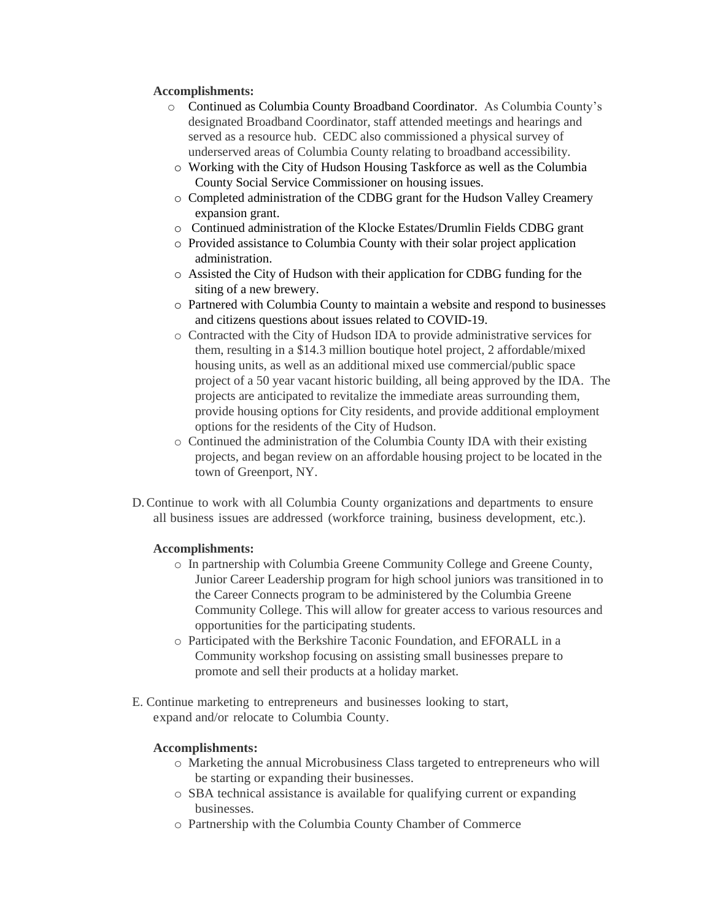### **Accomplishments:**

- o Continued as Columbia County Broadband Coordinator. As Columbia County's designated Broadband Coordinator, staff attended meetings and hearings and served as a resource hub. CEDC also commissioned a physical survey of underserved areas of Columbia County relating to broadband accessibility.
- o Working with the City of Hudson Housing Taskforce as well as the Columbia County Social Service Commissioner on housing issues.
- o Completed administration of the CDBG grant for the Hudson Valley Creamery expansion grant.
- o Continued administration of the Klocke Estates/Drumlin Fields CDBG grant
- o Provided assistance to Columbia County with their solar project application administration.
- o Assisted the City of Hudson with their application for CDBG funding for the siting of a new brewery.
- o Partnered with Columbia County to maintain a website and respond to businesses and citizens questions about issues related to COVID-19.
- o Contracted with the City of Hudson IDA to provide administrative services for them, resulting in a \$14.3 million boutique hotel project, 2 affordable/mixed housing units, as well as an additional mixed use commercial/public space project of a 50 year vacant historic building, all being approved by the IDA. The projects are anticipated to revitalize the immediate areas surrounding them, provide housing options for City residents, and provide additional employment options for the residents of the City of Hudson.
- o Continued the administration of the Columbia County IDA with their existing projects, and began review on an affordable housing project to be located in the town of Greenport, NY.
- D.Continue to work with all Columbia County organizations and departments to ensure all business issues are addressed (workforce training, business development, etc.).

#### **Accomplishments:**

- o In partnership with Columbia Greene Community College and Greene County, Junior Career Leadership program for high school juniors was transitioned in to the Career Connects program to be administered by the Columbia Greene Community College. This will allow for greater access to various resources and opportunities for the participating students.
- o Participated with the Berkshire Taconic Foundation, and EFORALL in a Community workshop focusing on assisting small businesses prepare to promote and sell their products at a holiday market.
- E. Continue marketing to entrepreneurs and businesses looking to start, expand and/or relocate to Columbia County.

#### **Accomplishments:**

- o Marketing the annual Microbusiness Class targeted to entrepreneurs who will be starting or expanding their businesses.
- o SBA technical assistance is available for qualifying current or expanding businesses.
- o Partnership with the Columbia County Chamber of Commerce